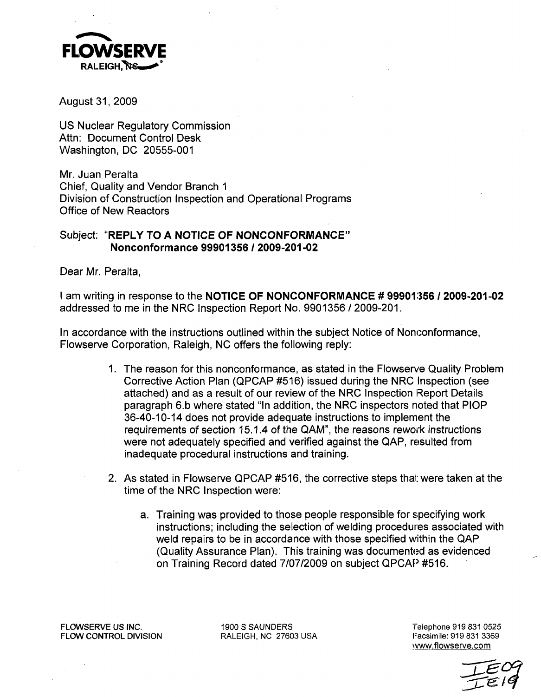

August 31, 2009

US Nuclear Regulatory Commission Attn: Document Control Desk Washington, DC 20555-001

Mr. Juan Peralta Chief, Quality and Vendor Branch **1** Division of Construction Inspection and Operational Programs Office of New Reactors

## Subject: "REPLY TO **A NOTICE** OF **NONCONFORMANCE"** Nonconformance **99901356 / 2009-201-02**

Dear Mr. Peralta,

I am writing in response to the **NOTICE** OF **NONCONFORMANCE # 99901,356** 1 **2009-201-02** addressed to me in the NRC Inspection Report No. 9901356 **/** 2009-201.

In accordance with the instructions outlined within the subject Notice of Nonconformance, Flowserve Corporation, Raleigh, NC offers the following reply:

- 1. The reason for this nonconformance, as stated in the Flowserve Quality Problem Corrective Action Plan (QPCAP #516) issued during the NRC Inspection (see attached) and as a result of our review of the NRC Inspection Report Details paragraph 6.b where stated "In addition, the NRC inspectors noted that PlOP 36-40-10-14 does not provide adequate instructions to implement the requirements of section 15.1.4 of the QAM", the reasons rework instructions were not adequately specified and verified against the QAP, resulted from inadequate procedural instructions and training.
- 2. As stated in Flowserve QPCAP #516, the corrective steps thai: were taken at the time of the NRC Inspection were:
	- a. Training was provided to those people responsible for specifying work instructions; including the selection of welding procedures associated with weld repairs to be in accordance with those specified within the QAP (Quality Assurance Plan). This training was documented as evidenced on Training Record dated 7/07/2009 on subject QPCAP #516.

FLOWSERVE US INC. 1900 S SAUNDERS Telephone 919 831 0525 FLOW CONTROL DIVISION RALEIGH, NC 27603 USA

www.flowserve.com

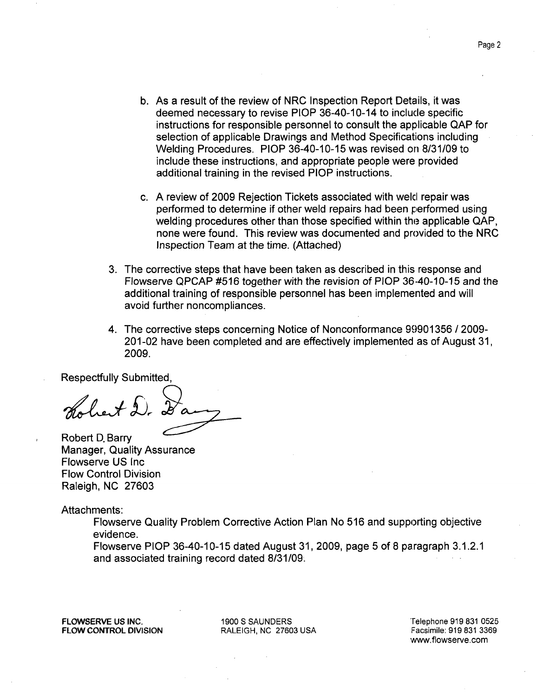- b. As a result of the review of NRC Inspection Report Details, it was deemed necessary to revise PlOP 36-40-10-14 to include specific instructions for responsible personnel to consult the applicable QAP for selection of applicable Drawings and Method Specifications including Welding Procedures. PlOP 36-40-10-15 was revised on 8/31/09 to include these instructions, and appropriate people were provided additional training in the revised PlOP instructions.
- c. A review of 2009 Rejection Tickets associated with weld repair was performed to determine if other weld repairs had been performed using welding procedures other than those specified within the applicable QAP, none were found. This review was documented and provided to the NRC Inspection Team at the time. (Attached)
- 3. The corrective steps that have been taken as described in this response and Flowserve QPCAP #516 together with the revision of PlOP 36-40-10-15 and the additional training of responsible personnel has been implemented and will avoid further noncompliances.
- 4. The corrective steps concerning Notice of Nonconformance 99901356 / 2009- 201-02 have been completed and are effectively implemented as of August 31, 2009.

Respectfully Submitted,

het D.

Robert **D.** Barry Manager, Quality Assurance Flowserve US Inc Flow Control Division Raleigh, NC 27603

Attachments:

Flowserve Quality Problem Corrective Action Plan No 516 and supporting objective evidence.

Flowserve PlOP 36-40-10-15 dated August 31, 2009, page 5 of 8 paragraph 3.1.2.1 and associated training record dated 8/31/09.

FLOWSERVE **US INC. 1900 S SAUNDERS** 'Telephone **919 831 0525**

FLOW CONTROL **DIVISION** RALEIGH, **NC 27603 USA** Facsimile: **919 831 3369**

www.flowserve.com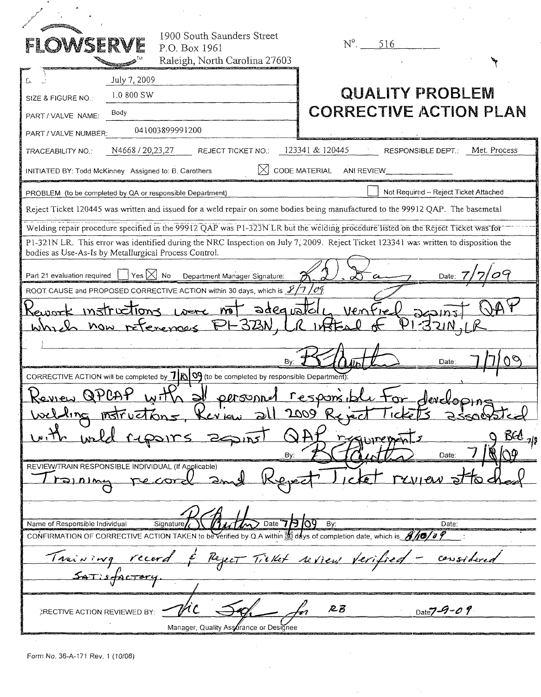| OWSERY                                                    | 1900 South Saunders Street<br>P.O. Box 1961<br>Raleigh, North Carolina 27603                                                           | $N^0$ . 516                           |                                       |
|-----------------------------------------------------------|----------------------------------------------------------------------------------------------------------------------------------------|---------------------------------------|---------------------------------------|
| July 7, 2009<br>L.                                        |                                                                                                                                        |                                       |                                       |
| 1.0 800 SW<br>SIZE & FIGURE NO.:                          |                                                                                                                                        | <b>QUALITY PROBLEM</b>                |                                       |
| Body<br>PART / VALVE NAME:                                |                                                                                                                                        | <b>CORRECTIVE ACTION PLAN</b>         |                                       |
| PART / VALVE NUMBER:                                      | 041003899991200                                                                                                                        |                                       |                                       |
| N4668 / 20,23,27<br>TRACEABILITY NO.:                     | <b>REJECT TICKET NO.:</b>                                                                                                              | 123341 & 120445<br>RESPONSIBLE DEPT.: | Met. Process                          |
| INITIATED BY: Todd McKinney Assigned to: B. Carothers     |                                                                                                                                        | CODE MATERIAL<br>ANI REVIEW           |                                       |
| PROBLEM (to be completed by QA or responsible Department) |                                                                                                                                        |                                       | Not Required - Reject Ticket Attached |
|                                                           | Reject Ticket 120445 was written and issued for a weld repair on some bodies being manufactured to the 99912 QAP. The basemetal        |                                       |                                       |
|                                                           | Welding repair procedure specified in the 99912 QAP was P1-323N LR but the welding procedure listed on the Reject Ticket was for       |                                       |                                       |
|                                                           | P1-321N LR. This error was identified during the NRC Inspection on July 7, 2009. Reject Ticket 123341 was written to disposition the   |                                       |                                       |
| bodies as Use-As-Is by Metallurgical Process Control.     |                                                                                                                                        |                                       |                                       |
| $\gamma$ es $[\times]$ No<br>Part 21 evaluation required  | Department Manager Signature:                                                                                                          |                                       | Date:                                 |
|                                                           | ROOT CAUSE and PROPOSED CORRECTIVE ACTION within 30 days, which is 1/7                                                                 | '04                                   |                                       |
| <u>instructions</u><br>ലയാ                                | not adequatel                                                                                                                          | Ventre                                |                                       |
| Whi                                                       | now reterences FL323N                                                                                                                  |                                       |                                       |
|                                                           |                                                                                                                                        |                                       |                                       |
|                                                           | B٧.                                                                                                                                    |                                       | Date:                                 |
|                                                           | CORRECTIVE ACTION will be completed by $7 \mid \beta \mid 9$ (to be completed by responsible Department):                              |                                       |                                       |
| QPCAP<br><u>Konnen</u>                                    | <u>n əv</u><br><u>personne</u>                                                                                                         |                                       | eveloping                             |
|                                                           | $Ker$ igi                                                                                                                              | 2009                                  | <b>SSOCYS</b>                         |
|                                                           |                                                                                                                                        |                                       | $BQ_{19}$                             |
|                                                           | Bv                                                                                                                                     |                                       | Date:                                 |
| REVIEW/TRAIN RESPONSIBLE INDIVIDUAL (If Applicable)       |                                                                                                                                        |                                       |                                       |
|                                                           |                                                                                                                                        |                                       |                                       |
|                                                           |                                                                                                                                        |                                       |                                       |
| Name of Responsible Individual                            | Date $77$ 109<br>Signature                                                                                                             | By:                                   | Date:                                 |
|                                                           | CONFIRMATION OF CORRECTIVE ACTION TAKEN to be verified by Q.A within $\frac{1}{300}$ days of completion date, which is $\frac{1}{300}$ |                                       |                                       |
| <u><i>Irainson</i></u>                                    |                                                                                                                                        | Tiellet review y                      |                                       |
| $54T:5$ factor                                            |                                                                                                                                        |                                       |                                       |
|                                                           |                                                                                                                                        |                                       |                                       |
| ARECTIVE ACTION REVIEWED BY:                              |                                                                                                                                        | RB                                    | Date $7 - 9 - 0$ 9                    |
|                                                           | Manager, Quality Assurance or Designee                                                                                                 |                                       |                                       |
|                                                           |                                                                                                                                        |                                       |                                       |

 $\sim 10^7$ 

 $\sim$   $\sim$ 

 $\sim$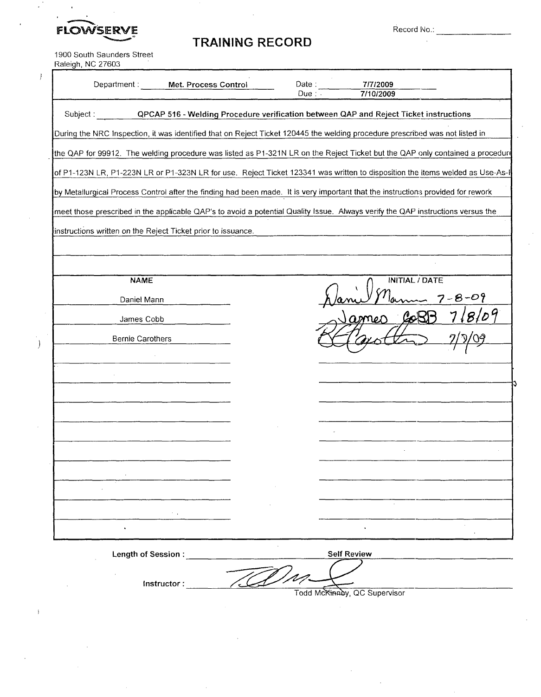FLOWSER

**TRAINING** RECORD

Record No.:

1900 South Saunders Street Raleiqh, NC 27603

 $\bar{I}$ 

| Department:                                                  | Met. Process Control                                                                                                             | Date:<br>Due: . | 7/7/2009<br>7/10/2009 |  |  |  |  |  |
|--------------------------------------------------------------|----------------------------------------------------------------------------------------------------------------------------------|-----------------|-----------------------|--|--|--|--|--|
| Subject:                                                     | QPCAP 516 - Welding Procedure verification between QAP and Reject Ticket instructions                                            |                 |                       |  |  |  |  |  |
|                                                              | During the NRC Inspection, it was identified that on Reject Ticket 120445 the welding procedure prescribed was not listed in     |                 |                       |  |  |  |  |  |
|                                                              | the QAP for 99912. The welding procedure was listed as P1-321N LR on the Reject Ticket but the QAP only contained a procedure    |                 |                       |  |  |  |  |  |
|                                                              | of P1-123N LR, P1-223N LR or P1-323N LR for use. Reject Ticket 123341 was written to disposition the items welded as Use-As-I    |                 |                       |  |  |  |  |  |
|                                                              | by Metallurgical Process Control after the finding had been made. It is very important that the instructions provided for rework |                 |                       |  |  |  |  |  |
|                                                              | meet those prescribed in the applicable QAP's to avoid a potential Quality Issue. Always verify the QAP instructions versus the  |                 |                       |  |  |  |  |  |
| instructions written on the Reject Ticket prior to issuance. |                                                                                                                                  |                 |                       |  |  |  |  |  |
|                                                              |                                                                                                                                  |                 |                       |  |  |  |  |  |
|                                                              |                                                                                                                                  |                 |                       |  |  |  |  |  |
| <b>NAME</b>                                                  |                                                                                                                                  |                 | <b>INITIAL / DATE</b> |  |  |  |  |  |
| Daniel Mann                                                  |                                                                                                                                  |                 |                       |  |  |  |  |  |
| James Cobb                                                   |                                                                                                                                  |                 |                       |  |  |  |  |  |
| Bernie Carothers                                             |                                                                                                                                  |                 |                       |  |  |  |  |  |
|                                                              |                                                                                                                                  |                 |                       |  |  |  |  |  |
|                                                              |                                                                                                                                  |                 |                       |  |  |  |  |  |
|                                                              |                                                                                                                                  |                 |                       |  |  |  |  |  |
|                                                              |                                                                                                                                  |                 |                       |  |  |  |  |  |
|                                                              |                                                                                                                                  |                 |                       |  |  |  |  |  |
|                                                              |                                                                                                                                  |                 |                       |  |  |  |  |  |
|                                                              |                                                                                                                                  |                 |                       |  |  |  |  |  |
|                                                              |                                                                                                                                  |                 |                       |  |  |  |  |  |
|                                                              |                                                                                                                                  |                 |                       |  |  |  |  |  |
|                                                              |                                                                                                                                  |                 |                       |  |  |  |  |  |
| Length of Session:                                           |                                                                                                                                  |                 | <b>Self Review</b>    |  |  |  |  |  |

Instructor: **Self Review**

Todd McKinney, QC Supervisor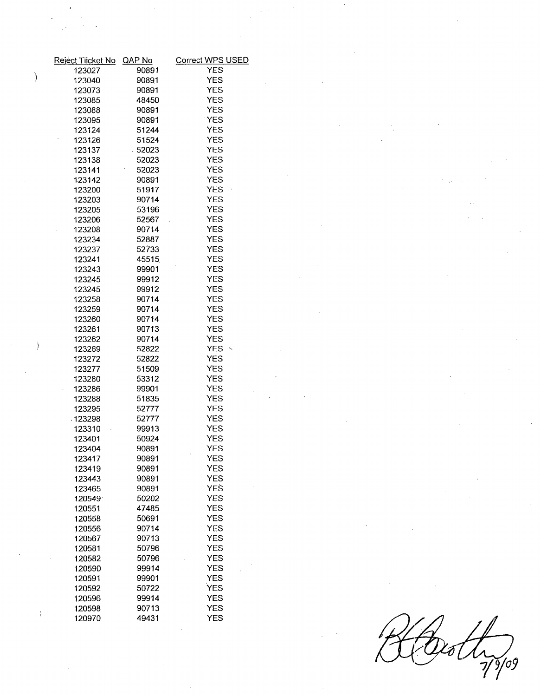|   | Reject Tiicket No QAP No |                | Correct WPS USED         |  |  |  |
|---|--------------------------|----------------|--------------------------|--|--|--|
|   | 123027                   | 90891          | <b>YES</b>               |  |  |  |
| Ì | 123040                   | 90891          | <b>YES</b>               |  |  |  |
|   | 123073                   | 90891          | <b>YES</b>               |  |  |  |
|   | 123085                   | 48450          | <b>YES</b>               |  |  |  |
|   | 123088                   | 90891          | <b>YES</b>               |  |  |  |
|   | 123095                   | 90891          | <b>YES</b>               |  |  |  |
|   | 123124                   | 51244          | <b>YES</b>               |  |  |  |
|   | 123126                   | 51524          | <b>YES</b>               |  |  |  |
|   | 123137                   | 52023          | <b>YES</b>               |  |  |  |
|   | 123138                   | 52023          | <b>YES</b>               |  |  |  |
|   | 123141                   | 52023          | <b>YES</b>               |  |  |  |
|   | 123142                   | 90891          | <b>YES</b>               |  |  |  |
|   | 123200                   | 51917          | <b>YES</b>               |  |  |  |
|   | 123203                   | 90714          | <b>YES</b>               |  |  |  |
|   | 123205                   | 53196          | <b>YES</b>               |  |  |  |
|   | 123206                   | 52567          | <b>YES</b>               |  |  |  |
|   | 123208                   | 90714          | <b>YES</b>               |  |  |  |
|   | 123234                   | 52887          | <b>YES</b>               |  |  |  |
|   | 123237                   | 52733          | <b>YES</b>               |  |  |  |
|   | 123241                   | 45515          | <b>YES</b>               |  |  |  |
|   | 123243                   | 99901          | <b>YES</b>               |  |  |  |
|   | 123245                   | 99912          | <b>YES</b>               |  |  |  |
|   | 123245                   | 99912          | <b>YES</b>               |  |  |  |
|   | 123258                   | 90714          | <b>YES</b>               |  |  |  |
|   | 123259                   | 90714          | <b>YES</b>               |  |  |  |
|   | 123260                   | 90714          | <b>YES</b>               |  |  |  |
|   | 123261                   | 90713          | <b>YES</b>               |  |  |  |
|   | 123262                   | 90714          | <b>YES</b>               |  |  |  |
|   | 123269                   | 52822          | YES $\sim$               |  |  |  |
|   | 123272                   | 52822          | <b>YES</b>               |  |  |  |
|   | 123277                   | 51509          | <b>YES</b>               |  |  |  |
|   | 123280                   | 53312          | <b>YES</b>               |  |  |  |
|   | 123286                   | 99901          | <b>YES</b>               |  |  |  |
|   | 123288                   | 51835          | <b>YES</b>               |  |  |  |
|   | 123295                   | 52777          | <b>YES</b>               |  |  |  |
|   | $-123298$                | 52777          | <b>YES</b>               |  |  |  |
|   | 123310                   | 99913          | <b>YES</b>               |  |  |  |
|   | 123401                   | 50924          | <b>YES</b>               |  |  |  |
|   | 123404                   | 90891          | <b>YES</b>               |  |  |  |
|   | 123417                   | 90891          | <b>YES</b>               |  |  |  |
|   | 123419                   | 90891          | <b>YES</b>               |  |  |  |
|   | 123443                   | 90891          | <b>YES</b>               |  |  |  |
|   | 123465                   | 90891          | <b>YES</b>               |  |  |  |
|   | 120549                   | 50202          | <b>YES</b>               |  |  |  |
|   | 120551                   | 47485          | <b>YES</b>               |  |  |  |
|   | 120558                   | 50691          | <b>YES</b>               |  |  |  |
|   | 120556                   | 90714          | <b>YES</b>               |  |  |  |
|   | 120567                   | 90713          | <b>YES</b>               |  |  |  |
|   | 120581<br>120582         | 50796          | <b>YES</b>               |  |  |  |
|   |                          | 50796          | <b>YES</b>               |  |  |  |
|   | 120590                   | 99914          | <b>YES</b><br><b>YES</b> |  |  |  |
|   | 120591                   | 99901          | <b>YES</b>               |  |  |  |
|   | 120592                   | 50722<br>99914 | <b>YES</b>               |  |  |  |
|   | 120596<br>120598         | 90713          | <b>YES</b>               |  |  |  |
|   | 120970                   | 49431          | <b>YES</b>               |  |  |  |
|   |                          |                |                          |  |  |  |
|   |                          |                |                          |  |  |  |

Black 19/09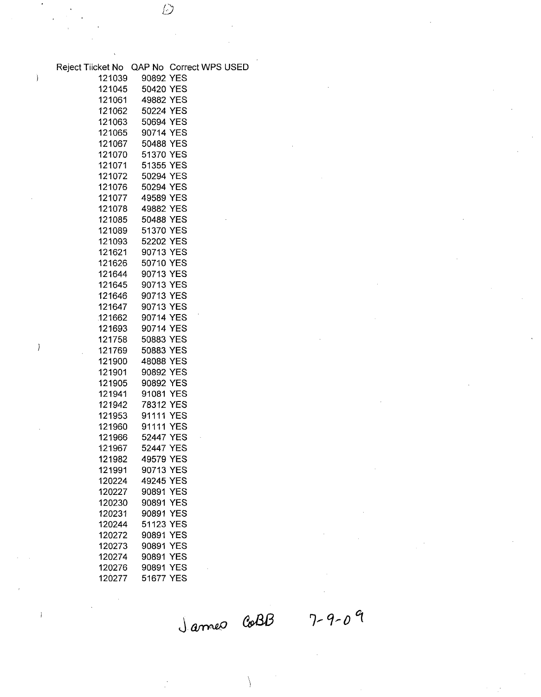| Reject Tiicket No QAP No Correct WPS USED |                  |            |  |
|-------------------------------------------|------------------|------------|--|
| 121039                                    | 90892 YES        |            |  |
| 121045                                    | 50420 YES        |            |  |
| 121061                                    | 49882 YES        |            |  |
| 121062                                    | 50224 YES        |            |  |
|                                           |                  |            |  |
| 121063                                    | 50694 YES        |            |  |
| 121065                                    | 90714 YES        |            |  |
| 121067                                    | 50488 YES        |            |  |
| 121070                                    | 51370 YES        |            |  |
| 121071                                    | 51355 YES        |            |  |
| 121072                                    | 50294 YES        |            |  |
| 121076                                    | 50294 YES        |            |  |
| 121077                                    | 49589 YES        |            |  |
|                                           | 121078 49882 YES |            |  |
|                                           | 121085 50488 YES |            |  |
|                                           | 121089 51370 YES |            |  |
| 121093                                    | 52202 YES        |            |  |
| 121621                                    | 90713 YES        |            |  |
| 121626                                    | 50710 YES        |            |  |
| 121644                                    | 90713 YES        |            |  |
| 121645                                    | 90713 YES        |            |  |
| 121646                                    | 90713 YES        |            |  |
| 121647                                    | 90713 YES        |            |  |
| 121662                                    | 90714 YES        |            |  |
| 121693                                    | 90714 YES        |            |  |
| 121758                                    | 50883 YES        |            |  |
| 121769                                    | 50883 YES        |            |  |
| 121900                                    | 48088 YES        |            |  |
| 121901                                    | 90892 YES        |            |  |
| 121905                                    | 90892 YES        |            |  |
| 121941                                    | 91081 YES        |            |  |
| 121942                                    | 78312 YES        |            |  |
| 121953                                    | 91111 YES        |            |  |
| 121960                                    | 91111 YES        |            |  |
|                                           | 121966 52447 YES |            |  |
| 121967                                    | 52447 YES        |            |  |
| 121982                                    | 49579 YES        |            |  |
| 121991                                    | 90713 YES        |            |  |
| 120224                                    | 49245 YES        |            |  |
| 120227                                    | 90891 YES        |            |  |
| 120230                                    | 90891 YES        |            |  |
| 120231                                    | 90891 YES        |            |  |
| 120244                                    | 51123 YES        |            |  |
| 120272                                    | 90891 YES        |            |  |
| 120273                                    | 90891 YES        |            |  |
| 120274                                    | 90891            | <b>YES</b> |  |
| 120276                                    | 90891 YES        |            |  |
| 120277                                    | 51677 YES        |            |  |
|                                           |                  |            |  |

 $\ddot{\mathcal{D}}$ 

 $\,$  )

 $\overline{)}$ 

 $\mathbf{I}$ 

James Co**BB** 

 $7 - 9 - 09$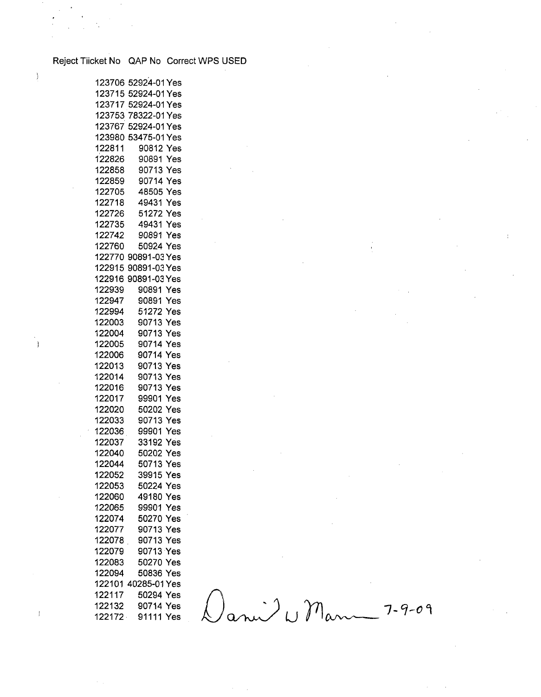## Reject Tiicket No QAP No Correct WPS USED

 $\,$  )

 $\mathcal{L}$ 

 $\bar{1}$ 

|        | 123706 52924-01 Yes |
|--------|---------------------|
| 123715 | 52924-01 Yes        |
| 123717 | 52924-01 Yes        |
| 123753 | 78322-01 Yes        |
| 123767 | 52924-01 Yes        |
| 123980 | 53475-01 Yes        |
| 122811 | 90812 Yes           |
| 122826 | 90891 Yes           |
| 122858 | 90713 Yes           |
| 122859 | 90714 Yes           |
| 122705 | 48505 Yes           |
| 122718 | 49431 Yes           |
| 122726 | 51272 Yes           |
| 122735 | 49431 Yes           |
| 122742 | 90891 Yes           |
| 122760 | 50924 Yes           |
|        | 122770 90891-03 Yes |
| 122915 | 90891-03 Yes        |
| 122916 | 90891-03 Yes        |
| 122939 | 90891 Yes           |
| 122947 | 90891 Yes           |
| 122994 | 51272 Yes           |
| 122003 | 90713 Yes           |
| 122004 | 90713 Yes           |
| 122005 | 90714 Yes           |
| 122006 | 90714 Yes           |
| 122013 | 90713 Yes           |
| 122014 | 90713 Yes           |
| 122016 | 90713 Yes           |
| 122017 | 99901<br>Yes        |
| 122020 | 50202<br>Yes        |
| 122033 | 90713<br>Yes        |
| 122036 | 99901<br>Yes        |
| 122037 | 33192<br>Yes        |
| 122040 | 50202<br>Yes        |
| 122044 | 50713<br>Yes        |
| 122052 | 39915 Yes           |
| 122053 | 50224 Yes           |
| 122060 | 49180 Yes           |
| 122065 | 99901 Yes           |
| 122074 | 50270 Yes           |
| 122077 | 90713 Yes           |
| 122078 | 90713 Yes           |
| 122079 | 90713 Yes           |
| 122083 | 50270 Yes           |
| 122094 | 50836<br>Yes        |
|        | 122101 40285-01 Yes |
| 122117 | 50294 Yes           |
| 122132 | 90714 Yes           |
| 122172 | 91111<br>Yes        |
|        |                     |

 $0$ ani<sup>)</sup> W Mann 7-9-09

 $\sim$ 

 $\mathcal{L}^{\mathcal{L}}$ 

 $\frac{1}{2}$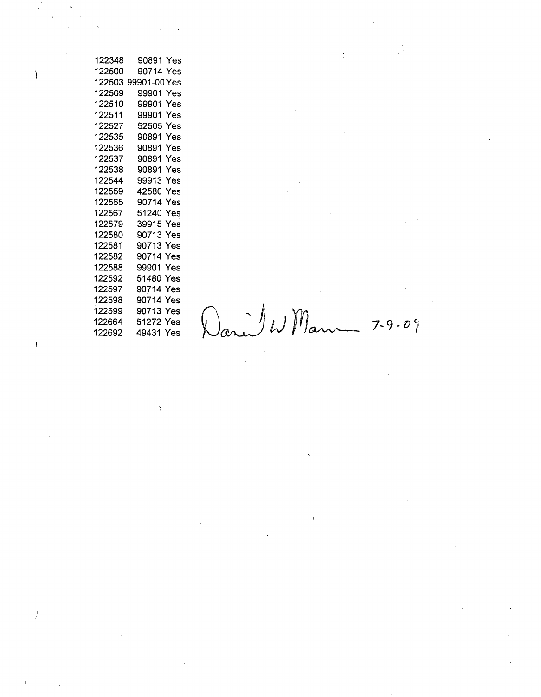| 122348 | 90891<br>Yes        |
|--------|---------------------|
| 122500 | 90714 Yes           |
| 122503 | 99901-00 Yes        |
| 122509 | 99901<br>Yes        |
| 122510 | 99901<br>Yes        |
| 122511 | 99901<br>Yes        |
| 122527 | 52505<br><b>Yes</b> |
| 122535 | 90891 Yes           |
| 122536 | 90891 Yes           |
| 122537 | 90891 Yes           |
| 122538 | 90891 Yes           |
| 122544 | 99913<br>Yes        |
| 122559 | Yes<br>42580        |
| 122565 | 90714<br>Yes        |
| 122567 | 51240<br>Yes        |
| 122579 | 39915 Yes           |
| 122580 | 90713 Yes           |
| 122581 | 90713 Yes           |
| 122582 | 90714 Yes           |
| 122588 | 99901 Yes           |
| 122592 | 51480 Yes           |
| 122597 | 90714 Yes           |
| 122598 | 90714 Yes           |
| 122599 | 90713 Yes           |
| 122664 | 51272 Yes           |
| 100200 | 80821.<br>∨∼∼       |

 $\mathcal{L}(\mathcal{A})=\mathcal{L}(\mathcal{A})$ 

 $\mathcal{L}$ 

122598 90714 Yes<br>122599 90713 Yes<br>122664 51272 Yes Dari W Mau 7-9-09

 $\sim 10^{-1}$ 

 $\label{eq:2.1} \frac{1}{\sqrt{2\pi}}\int_{\mathbb{R}^{2}}\left|\frac{d\mu}{\lambda}\right|^{2}d\mu\left(\frac{d\mu}{\lambda}\right)^{2}d\mu\left(\frac{d\mu}{\lambda}\right)^{2}d\mu\left(\frac{d\mu}{\lambda}\right)^{2}d\mu\left(\frac{d\mu}{\lambda}\right)^{2}d\mu\left(\frac{d\mu}{\lambda}\right)^{2}d\mu\left(\frac{d\mu}{\lambda}\right)^{2}d\mu\left(\frac{d\mu}{\lambda}\right)^{2}d\mu\left(\frac{d\mu}{\lambda}\right)^{2}d\mu\left(\frac{d\$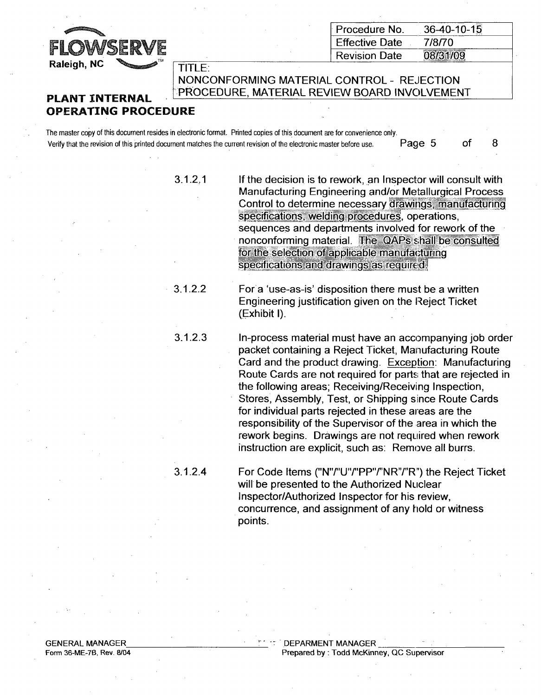

|      | $\parallel$ Procedure No. | $36-40-10-15$ |
|------|---------------------------|---------------|
| ERVE | <b>Effective Date</b>     | 7/8/70        |
| ATM  | <b>Revision Date</b>      | 08/31/09      |

NONCONFORMING MATERIAL CONTROL - REJECTION **PLANT INTERNAL** 'PROCEDURE, MATERIAL REVIEW BOARD INVOLVEMENT

## OPERATING PROCEDURE

The master copy of this document resides in electronic format. Printed copies of this document are for convenience only. Verify that the revision of this printed document matches the current revision of the electronic master before use. Page 5 of 8

| 3.1.2.1 | If the decision is to rework, an Inspector will consult with<br>Manufacturing Engineering and/or Metallurgical Process<br>Control to determine necessary drawings, manufacturing<br>specifications, welding procedures, operations,<br>sequences and departments involved for rework of the<br>nonconforming material. The QAPs shall be consulted<br>for the selection of applicable manufacturing<br>specifications and drawings as required. |
|---------|-------------------------------------------------------------------------------------------------------------------------------------------------------------------------------------------------------------------------------------------------------------------------------------------------------------------------------------------------------------------------------------------------------------------------------------------------|
| 3.1.2.2 | For a 'use-as-is' disposition there must be a written<br>Engineering justification given on the Reject Ticket<br>(Exhibit I).                                                                                                                                                                                                                                                                                                                   |
| 3.1.2.3 | In-process material must have an accompanying job order<br>packet containing a Reject Ticket, Manufacturing Route<br>Card and the product drawing. Exception: Manufacturing<br>Route Cards are not required for parts that are rejected in<br>the following areas; Receiving/Receiving Inspection,<br>Stores, Assembly, Test, or Shipping since Route Cards<br>for individual parts rejected in these areas are the                             |

3.1.2.4 For Code Items ("N"/'U"/"PP"/'NR"/"R") the Reject Ticket will be presented to the Authorized Nuclear Inspector/Authorized Inspector for his review, concurrence, and assignment of any hold or witness points.

responsibility of the Supervisor of the area in which the rework begins. Drawings are not required when rework instruction are explicit, such as: Remove all burrs.

GENERAL MANAGER Form 36-ME-7B, Rev. 8/04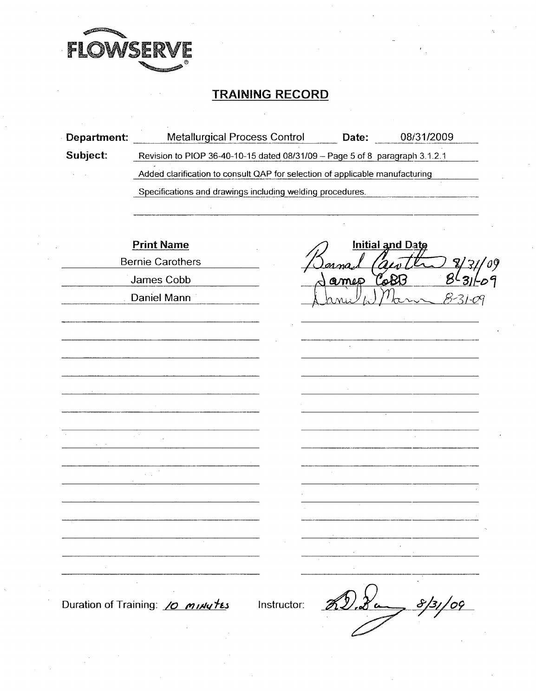

## TRAINING RECORD

| Department: | Metallurgical Process Control                                                |             | Date: | 08/31/2009              |  |  |  |
|-------------|------------------------------------------------------------------------------|-------------|-------|-------------------------|--|--|--|
| Subject:    | Revision to PIOP 36-40-10-15 dated 08/31/09 - Page 5 of 8 paragraph 3.1.2.1  |             |       |                         |  |  |  |
|             | Added clarification to consult QAP for selection of applicable manufacturing |             |       |                         |  |  |  |
|             | Specifications and drawings including welding procedures.                    |             |       |                         |  |  |  |
|             |                                                                              |             |       |                         |  |  |  |
|             | <b>Print Name</b>                                                            |             |       | <b>Initial and Date</b> |  |  |  |
|             | <b>Bernie Carothers</b>                                                      |             |       |                         |  |  |  |
|             | James Cobb                                                                   |             | amep  | CoBI                    |  |  |  |
|             | Daniel Mann                                                                  |             |       | $8 - 31 - 09$           |  |  |  |
|             |                                                                              |             |       |                         |  |  |  |
|             |                                                                              |             |       |                         |  |  |  |
|             |                                                                              |             |       |                         |  |  |  |
|             |                                                                              |             |       |                         |  |  |  |
|             |                                                                              |             |       |                         |  |  |  |
|             |                                                                              |             |       |                         |  |  |  |
|             |                                                                              |             |       |                         |  |  |  |
|             |                                                                              |             |       |                         |  |  |  |
|             |                                                                              |             |       |                         |  |  |  |
|             |                                                                              |             |       |                         |  |  |  |
|             |                                                                              |             |       |                         |  |  |  |
|             |                                                                              |             |       |                         |  |  |  |
|             |                                                                              |             |       |                         |  |  |  |
|             |                                                                              |             |       |                         |  |  |  |
|             |                                                                              |             |       |                         |  |  |  |
|             | Duration of Training: 10 minutes                                             | Instructor: |       |                         |  |  |  |